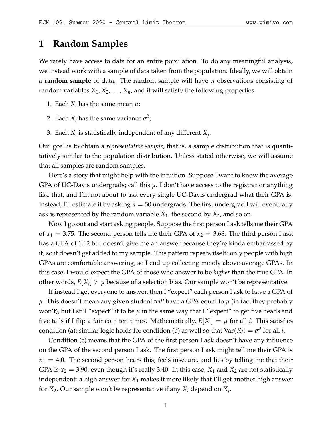# **1 Random Samples**

We rarely have access to data for an entire population. To do any meaningful analysis, we instead work with a sample of data taken from the population. Ideally, we will obtain a **random sample** of data. The random sample will have *n* observations consisting of random variables  $X_1, X_2, \ldots, X_n$ , and it will satisfy the following properties:

- 1. Each  $X_i$  has the same mean  $\mu$ ;
- 2. Each  $X_i$  has the same variance  $\sigma^2$ ;
- 3. Each  $X_i$  is statistically independent of any different  $X_j$ .

Our goal is to obtain a *representative sample*, that is, a sample distribution that is quantitatively similar to the population distribution. Unless stated otherwise, we will assume that all samples are random samples.

Here's a story that might help with the intuition. Suppose I want to know the average GPA of UC-Davis undergrads; call this *µ*. I don't have access to the registrar or anything like that, and I'm not about to ask every single UC-Davis undergrad what their GPA is. Instead, I'll estimate it by asking *n* = 50 undergrads. The first undergrad I will eventually ask is represented by the random variable *X*1, the second by *X*2, and so on.

Now I go out and start asking people. Suppose the first person I ask tells me their GPA of  $x_1 = 3.75$ . The second person tells me their GPA of  $x_2 = 3.68$ . The third person I ask has a GPA of 1.12 but doesn't give me an answer because they're kinda embarrassed by it, so it doesn't get added to my sample. This pattern repeats itself: only people with high GPAs are comfortable answering, so I end up collecting mostly above-average GPAs. In this case, I would expect the GPA of those who answer to be *higher* than the true GPA. In other words*,*  $E[X_i] > \mu$  because of a selection bias. Our sample won't be representative.

If instead I get everyone to answer, then I "expect" each person I ask to have a GPA of *µ*. This doesn't mean any given student *will* have a GPA equal to *µ* (in fact they probably won't), but I still "expect" it to be *µ* in the same way that I "expect" to get five heads and five tails if I flip a fair coin ten times. Mathematically,  $E[X_i] = \mu$  for all *i*. This satisfies condition (a); similar logic holds for condition (b) as well so that  $Var(X_i) = \sigma^2$  for all *i*.

Condition (c) means that the GPA of the first person I ask doesn't have any influence on the GPA of the second person I ask. The first person I ask might tell me their GPA is  $x_1 = 4.0$ . The second person hears this, feels insecure, and lies by telling me that their GPA is  $x_2 = 3.90$ , even though it's really 3.40. In this case,  $X_1$  and  $X_2$  are not statistically independent: a high answer for *X*<sup>1</sup> makes it more likely that I'll get another high answer for *X*2. Our sample won't be representative if any *X<sup>i</sup>* depend on *X<sup>j</sup>* .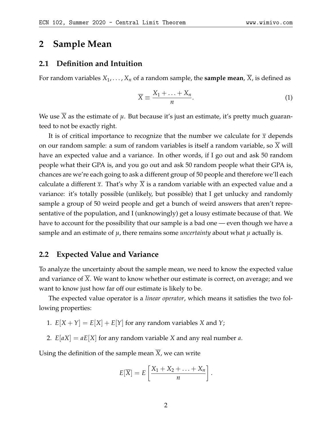## **2 Sample Mean**

## **2.1 Definition and Intuition**

For random variables  $X_1, \ldots, X_n$  of a random sample, the **sample mean**, *X*, is defined as

$$
\overline{X} \equiv \frac{X_1 + \ldots + X_n}{n}.
$$
 (1)

We use  $\overline{X}$  as the estimate of  $\mu$ . But because it's just an estimate, it's pretty much guaranteed to not be exactly right.

It is of critical importance to recognize that the number we calculate for  $\bar{x}$  depends on our random sample: a sum of random variables is itself a random variable, so *X* will have an expected value and a variance. In other words, if I go out and ask 50 random people what their GPA is, and you go out and ask 50 random people what their GPA is, chances are we're each going to ask a different group of 50 people and therefore we'll each calculate a different  $\bar{x}$ . That's why *X* is a random variable with an expected value and a variance: it's totally possible (unlikely, but possible) that I get unlucky and randomly sample a group of 50 weird people and get a bunch of weird answers that aren't representative of the population, and I (unknowingly) get a lousy estimate because of that. We have to account for the possibility that our sample is a bad one — even though we have a sample and an estimate of  $\mu$ , there remains some *uncertainty* about what  $\mu$  actually is.

### **2.2 Expected Value and Variance**

To analyze the uncertainty about the sample mean, we need to know the expected value and variance of *X*. We want to know whether our estimate is correct, on average; and we want to know just how far off our estimate is likely to be.

The expected value operator is a *linear operator*, which means it satisfies the two following properties:

- 1.  $E[X + Y] = E[X] + E[Y]$  for any random variables *X* and *Y*;
- 2.  $E[aX] = aE[X]$  for any random variable *X* and any real number *a*.

Using the definition of the sample mean *X*, we can write

$$
E[\overline{X}] = E\left[\frac{X_1 + X_2 + \ldots + X_n}{n}\right].
$$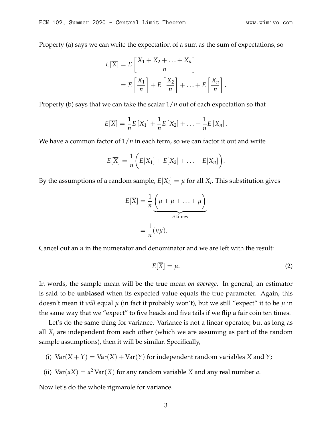Property (a) says we can write the expectation of a sum as the sum of expectations, so

$$
E[\overline{X}] = E\left[\frac{X_1 + X_2 + \dots + X_n}{n}\right]
$$

$$
= E\left[\frac{X_1}{n}\right] + E\left[\frac{X_2}{n}\right] + \dots + E\left[\frac{X_n}{n}\right]
$$

Property (b) says that we can take the scalar 1/*n* out of each expectation so that

$$
E[\overline{X}] = \frac{1}{n}E[X_1] + \frac{1}{n}E[X_2] + \ldots + \frac{1}{n}E[X_n].
$$

We have a common factor of 1/*n* in each term, so we can factor it out and write

$$
E[\overline{X}] = \frac{1}{n} \bigg( E[X_1] + E[X_2] + \ldots + E[X_n] \bigg).
$$

By the assumptions of a random sample,  $E[X_i] = \mu$  for all  $X_i$ . This substitution gives

$$
E[\overline{X}] = \frac{1}{n} \underbrace{\left(\mu + \mu + \ldots + \mu\right)}_{n \text{ times}}
$$

$$
= \frac{1}{n} (n\mu).
$$

Cancel out an *n* in the numerator and denominator and we are left with the result:

$$
E[\overline{X}] = \mu. \tag{2}
$$

.

In words, the sample mean will be the true mean *on average*. In general, an estimator is said to be **unbiased** when its expected value equals the true parameter. Again, this doesn't mean it *will* equal *µ* (in fact it probably won't), but we still "expect" it to be *µ* in the same way that we "expect" to five heads and five tails if we flip a fair coin ten times.

Let's do the same thing for variance. Variance is not a linear operator, but as long as all *X<sup>i</sup>* are independent from each other (which we are assuming as part of the random sample assumptions), then it will be similar. Specifically,

- (i)  $Var(X + Y) = Var(X) + Var(Y)$  for independent random variables *X* and *Y*;
- (ii)  $\text{Var}(aX) = a^2 \text{Var}(X)$  for any random variable *X* and any real number *a*.

Now let's do the whole rigmarole for variance.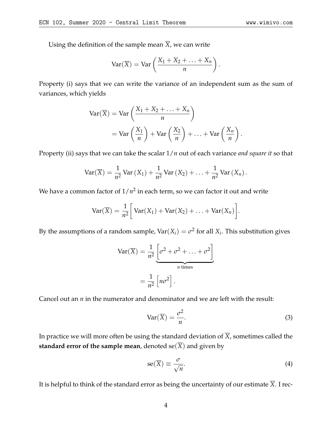Using the definition of the sample mean  $\overline{X}$ , we can write

$$
\operatorname{Var}(\overline{X}) = \operatorname{Var}\left(\frac{X_1 + X_2 + \ldots + X_n}{n}\right).
$$

Property (i) says that we can write the variance of an independent sum as the sum of variances, which yields

$$
\begin{aligned} \text{Var}(\overline{X}) &= \text{Var}\left(\frac{X_1 + X_2 + \ldots + X_n}{n}\right) \\ &= \text{Var}\left(\frac{X_1}{n}\right) + \text{Var}\left(\frac{X_2}{n}\right) + \ldots + \text{Var}\left(\frac{X_n}{n}\right). \end{aligned}
$$

Property (ii) says that we can take the scalar 1/*n* out of each variance *and square it* so that

$$
\text{Var}(\overline{X}) = \frac{1}{n^2} \text{Var}(X_1) + \frac{1}{n^2} \text{Var}(X_2) + \ldots + \frac{1}{n^2} \text{Var}(X_n).
$$

We have a common factor of  $1/n^2$  in each term, so we can factor it out and write

$$
Var(\overline{X}) = \frac{1}{n^2} \bigg[ Var(X_1) + Var(X_2) + \ldots + Var(X_n) \bigg].
$$

By the assumptions of a random sample, Var $(X_i) = \sigma^2$  for all  $X_i$ . This substitution gives

$$
Var(\overline{X}) = \frac{1}{n^2} \underbrace{\left[\sigma^2 + \sigma^2 + \dots + \sigma^2\right]}_{n \text{ times}}
$$

$$
= \frac{1}{n^2} \left[n\sigma^2\right].
$$

Cancel out an *n* in the numerator and denominator and we are left with the result:

$$
Var(\overline{X}) = \frac{\sigma^2}{n}.
$$
 (3)

In practice we will more often be using the standard deviation of  $\overline{X}$ , sometimes called the **standard error of the sample mean,** denoted  $se(\overline{X})$  and given by

$$
se(\overline{X}) \equiv \frac{\sigma}{\sqrt{n}}.\tag{4}
$$

It is helpful to think of the standard error as being the uncertainty of our estimate  $\overline{X}$ . I rec-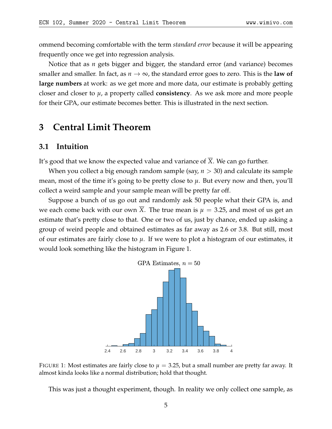ommend becoming comfortable with the term *standard error* because it will be appearing frequently once we get into regression analysis.

Notice that as *n* gets bigger and bigger, the standard error (and variance) becomes smaller and smaller. In fact, as  $n \to \infty$ , the standard error goes to zero. This is the **law of large numbers** at work: as we get more and more data, our estimate is probably getting closer and closer to *µ*, a property called **consistency**. As we ask more and more people for their GPA, our estimate becomes better. This is illustrated in the next section.

# **3 Central Limit Theorem**

### **3.1 Intuition**

It's good that we know the expected value and variance of *X*. We can go further.

When you collect a big enough random sample (say, *n* > 30) and calculate its sample mean, most of the time it's going to be pretty close to  $\mu$ . But every now and then, you'll collect a weird sample and your sample mean will be pretty far off.

<span id="page-4-0"></span>Suppose a bunch of us go out and randomly ask 50 people what their GPA is, and we each come back with our own *X*. The true mean is  $\mu = 3.25$ , and most of us get an estimate that's pretty close to that. One or two of us, just by chance, ended up asking a group of weird people and obtained estimates as far away as 2.6 or 3.8. But still, most of our estimates are fairly close to  $\mu$ . If we were to plot a histogram of our estimates, it would look something like the histogram in Figure [1.](#page-4-0)



FIGURE 1: Most estimates are fairly close to  $\mu = 3.25$ , but a small number are pretty far away. It almost kinda looks like a normal distribution; hold that thought.

This was just a thought experiment, though. In reality we only collect one sample, as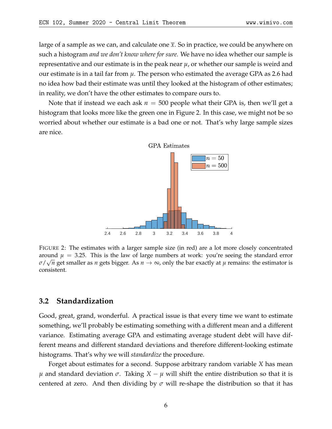large of a sample as we can, and calculate one  $\bar{x}$ . So in practice, we could be anywhere on such a histogram *and we don't know where for sure.* We have no idea whether our sample is representative and our estimate is in the peak near *µ*, or whether our sample is weird and our estimate is in a tail far from *µ*. The person who estimated the average GPA as 2.6 had no idea how bad their estimate was until they looked at the histogram of other estimates; in reality, we don't have the other estimates to compare ours to.

<span id="page-5-0"></span>Note that if instead we each ask  $n = 500$  people what their GPA is, then we'll get a histogram that looks more like the green one in Figure [2.](#page-5-0) In this case, we might not be so worried about whether our estimate is a bad one or not. That's why large sample sizes are nice.



FIGURE 2: The estimates with a larger sample size (in red) are a lot more closely concentrated around  $\mu = 3.25$ . This is the law of large numbers at work: you're seeing the standard error *σ*/ *n* get smaller as *n* gets bigger. As *n* → ∞, only the bar exactly at *µ* remains: the estimator is consistent.

## **3.2 Standardization**

Good, great, grand, wonderful. A practical issue is that every time we want to estimate something, we'll probably be estimating something with a different mean and a different variance. Estimating average GPA and estimating average student debt will have different means and different standard deviations and therefore different-looking estimate histograms. That's why we will *standardize* the procedure.

Forget about estimates for a second. Suppose arbitrary random variable *X* has mean *µ* and standard deviation *σ*. Taking *X* − *µ* will shift the entire distribution so that it is centered at zero. And then dividing by *σ* will re-shape the distribution so that it has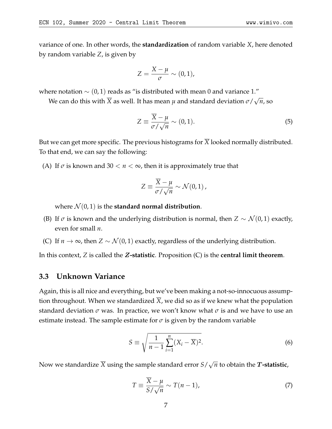variance of one. In other words, the **standardization** of random variable *X*, here denoted by random variable *Z*, is given by

$$
Z=\frac{X-\mu}{\sigma}\sim(0,1),
$$

where notation  $\sim$  (0, 1) reads as "is distributed with mean 0 and variance 1."

We can do this with *X* as well. It has mean *µ* and standard deviation *σ*/ √ *n*, so

$$
Z \equiv \frac{\overline{X} - \mu}{\sigma / \sqrt{n}} \sim (0, 1). \tag{5}
$$

But we can get more specific. The previous histograms for  $\overline{X}$  looked normally distributed. To that end, we can say the following:

(A) If  $\sigma$  is known and 30  $< n < \infty$ , then it is approximately true that

$$
Z \equiv \frac{\overline{X} - \mu}{\sigma / \sqrt{n}} \sim \mathcal{N}(0, 1) ,
$$

where  $\mathcal{N}(0, 1)$  is the **standard normal distribution**.

- (B) If  $\sigma$  is known and the underlying distribution is normal, then  $Z \sim \mathcal{N}(0, 1)$  exactly, even for small *n*.
- (C) If *n*  $\rightarrow \infty$ , then *Z* ∼  $\mathcal{N}(0, 1)$  exactly, regardless of the underlying distribution.

In this context, *Z* is called the Z**-statistic**. Proposition (C) is the **central limit theorem**.

### **3.3 Unknown Variance**

Again, this is all nice and everything, but we've been making a not-so-innocuous assumption throughout. When we standardized  $\overline{X}$ , we did so as if we knew what the population standard deviation  $\sigma$  was. In practice, we won't know what  $\sigma$  is and we have to use an estimate instead. The sample estimate for  $\sigma$  is given by the random variable

$$
S \equiv \sqrt{\frac{1}{n-1} \sum_{i=1}^{n} (X_i - \overline{X})^2}.
$$
 (6)

Now we standardize *X* using the sample standard error *S*/ √  $\overline{n}$  to obtain the  $\boldsymbol{T}$ **-statistic**,

$$
T \equiv \frac{\overline{X} - \mu}{S / \sqrt{n}} \sim T(n - 1),\tag{7}
$$